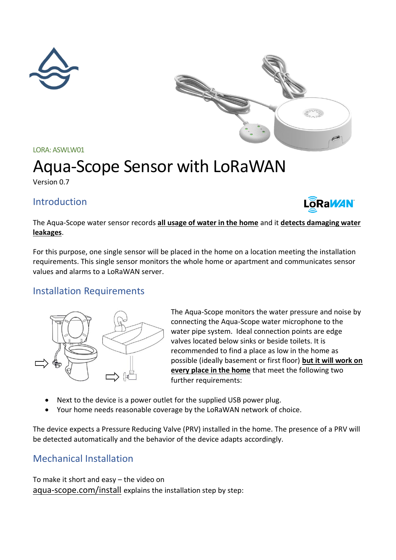



LORA: ASWLW01

# Aqua-Scope Sensor with LoRaWAN

Version 0.7

## Introduction



The Aqua-Scope water sensor records **all usage of water in the home** and it **detects damaging water leakages**.

For this purpose, one single sensor will be placed in the home on a location meeting the installation requirements. This single sensor monitors the whole home or apartment and communicates sensor values and alarms to a LoRaWAN server.

## Installation Requirements



The Aqua-Scope monitors the water pressure and noise by connecting the Aqua-Scope water microphone to the water pipe system. Ideal connection points are edge valves located below sinks or beside toilets. It is recommended to find a place as low in the home as possible (ideally basement or first floor) **but it will work on every place in the home** that meet the following two further requirements:

- Next to the device is a power outlet for the supplied USB power plug.
- Your home needs reasonable coverage by the LoRaWAN network of choice.

The device expects a Pressure Reducing Valve (PRV) installed in the home. The presence of a PRV will be detected automatically and the behavior of the device adapts accordingly.

## Mechanical Installation

To make it short and easy – the video on aqua-scope.com/install explains the installation step by step: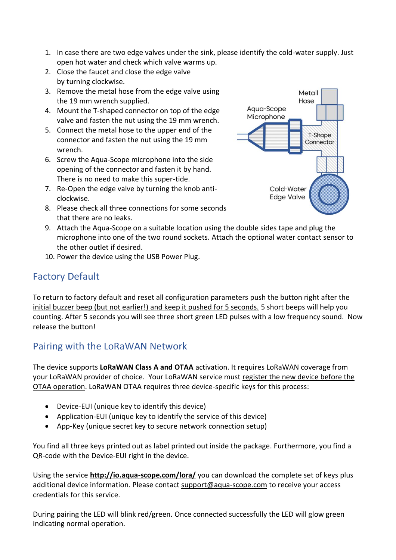- 1. In case there are two edge valves under the sink, please identify the cold-water supply. Just open hot water and check which valve warms up.
- 2. Close the faucet and close the edge valve by turning clockwise.
- 3. Remove the metal hose from the edge valve using the 19 mm wrench supplied.
- 4. Mount the T-shaped connector on top of the edge valve and fasten the nut using the 19 mm wrench.
- 5. Connect the metal hose to the upper end of the connector and fasten the nut using the 19 mm wrench.
- 6. Screw the Aqua-Scope microphone into the side opening of the connector and fasten it by hand. There is no need to make this super-tide.
- 7. Re-Open the edge valve by turning the knob anticlockwise.
- 8. Please check all three connections for some seconds that there are no leaks.



- 9. Attach the Aqua-Scope on a suitable location using the double sides tape and plug the microphone into one of the two round sockets. Attach the optional water contact sensor to the other outlet if desired.
- 10. Power the device using the USB Power Plug.

# Factory Default

To return to factory default and reset all configuration parameters push the button right after the initial buzzer beep (but not earlier!) and keep it pushed for 5 seconds. 5 short beeps will help you counting. After 5 seconds you will see three short green LED pulses with a low frequency sound. Now release the button!

# Pairing with the LoRaWAN Network

The device supports **LoRaWAN Class A and OTAA** activation. It requires LoRaWAN coverage from your LoRaWAN provider of choice. Your LoRaWAN service must register the new device before the OTAA operation. LoRaWAN OTAA requires three device-specific keys for this process:

- Device-EUI (unique key to identify this device)
- Application-EUI (unique key to identify the service of this device)
- App-Key (unique secret key to secure network connection setup)

You find all three keys printed out as label printed out inside the package. Furthermore, you find a QR-code with the Device-EUI right in the device.

Using the service **<http://io.aqua-scope.com/lora/>** you can download the complete set of keys plus additional device information. Please contact [support@aqua-scope.com](mailto:support@aqua-scope.com) to receive your access credentials for this service.

During pairing the LED will blink red/green. Once connected successfully the LED will glow green indicating normal operation.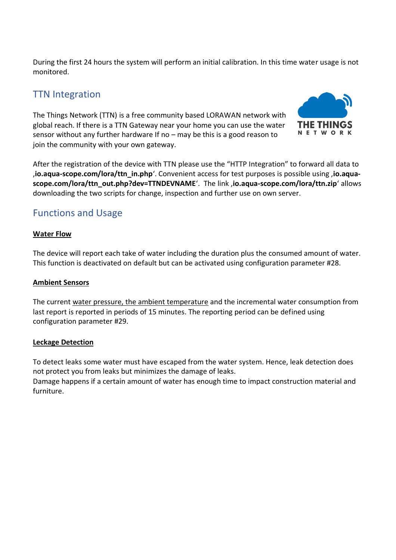During the first 24 hours the system will perform an initial calibration. In this time water usage is not monitored.

## TTN Integration

The Things Network (TTN) is a free community based LORAWAN network with global reach. If there is a TTN Gateway near your home you can use the water sensor without any further hardware If no – may be this is a good reason to join the community with your own gateway.



After the registration of the device with TTN please use the "HTTP Integration" to forward all data to '**io.aqua-scope.com/lora/ttn\_in.php**'. Convenient access for test purposes is possible using '**io.aquascope.com/lora/ttn\_out.php?dev=TTNDEVNAME**'. The link '**io.aqua-scope.com/lora/ttn.zip**' allows downloading the two scripts for change, inspection and further use on own server.

## Functions and Usage

## **Water Flow**

The device will report each take of water including the duration plus the consumed amount of water. This function is deactivated on default but can be activated using configuration parameter #28.

## **Ambient Sensors**

The current water pressure, the ambient temperature and the incremental water consumption from last report is reported in periods of 15 minutes. The reporting period can be defined using configuration parameter #29.

## **Leckage Detection**

To detect leaks some water must have escaped from the water system. Hence, leak detection does not protect you from leaks but minimizes the damage of leaks.

Damage happens if a certain amount of water has enough time to impact construction material and furniture.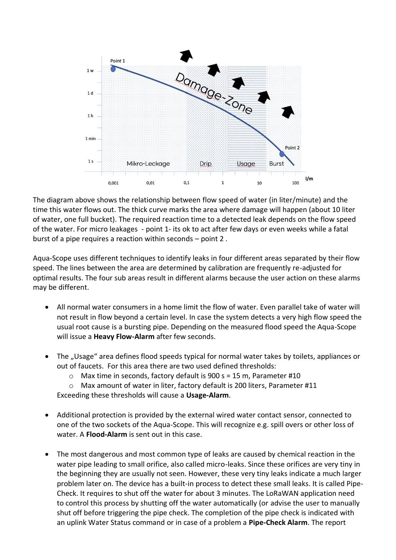

The diagram above shows the relationship between flow speed of water (in liter/minute) and the time this water flows out. The thick curve marks the area where damage will happen (about 10 liter of water, one full bucket). The required reaction time to a detected leak depends on the flow speed of the water. For micro leakages - point 1- its ok to act after few days or even weeks while a fatal burst of a pipe requires a reaction within seconds – point 2 .

Aqua-Scope uses different techniques to identify leaks in four different areas separated by their flow speed. The lines between the area are determined by calibration are frequently re-adjusted for optimal results. The four sub areas result in different alarms because the user action on these alarms may be different.

- All normal water consumers in a home limit the flow of water. Even parallel take of water will not result in flow beyond a certain level. In case the system detects a very high flow speed the usual root cause is a bursting pipe. Depending on the measured flood speed the Aqua-Scope will issue a **Heavy Flow-Alarm** after few seconds.
- The "Usage" area defines flood speeds typical for normal water takes by toilets, appliances or out of faucets. For this area there are two used defined thresholds:
	- o Max time in seconds, factory default is 900 s = 15 m, Parameter #10
	- o Max amount of water in liter, factory default is 200 liters, Parameter #11

Exceeding these thresholds will cause a **Usage-Alarm**.

- Additional protection is provided by the external wired water contact sensor, connected to one of the two sockets of the Aqua-Scope. This will recognize e.g. spill overs or other loss of water. A **Flood-Alarm** is sent out in this case.
- The most dangerous and most common type of leaks are caused by chemical reaction in the water pipe leading to small orifice, also called micro-leaks. Since these orifices are very tiny in the beginning they are usually not seen. However, these very tiny leaks indicate a much larger problem later on. The device has a built-in process to detect these small leaks. It is called Pipe-Check. It requires to shut off the water for about 3 minutes. The LoRaWAN application need to control this process by shutting off the water automatically (or advise the user to manually shut off before triggering the pipe check. The completion of the pipe check is indicated with an uplink Water Status command or in case of a problem a **Pipe-Check Alarm**. The report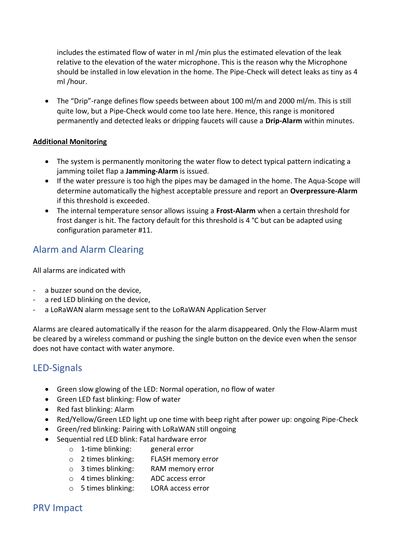includes the estimated flow of water in ml /min plus the estimated elevation of the leak relative to the elevation of the water microphone. This is the reason why the Microphone should be installed in low elevation in the home. The Pipe-Check will detect leaks as tiny as 4 ml /hour.

• The "Drip"-range defines flow speeds between about 100 ml/m and 2000 ml/m. This is still quite low, but a Pipe-Check would come too late here. Hence, this range is monitored permanently and detected leaks or dripping faucets will cause a **Drip-Alarm** within minutes.

## **Additional Monitoring**

- The system is permanently monitoring the water flow to detect typical pattern indicating a jamming toilet flap a **Jamming-Alarm** is issued.
- If the water pressure is too high the pipes may be damaged in the home. The Aqua-Scope will determine automatically the highest acceptable pressure and report an **Overpressure-Alarm** if this threshold is exceeded.
- The internal temperature sensor allows issuing a **Frost-Alarm** when a certain threshold for frost danger is hit. The factory default for this threshold is 4 °C but can be adapted using configuration parameter #11.

# Alarm and Alarm Clearing

All alarms are indicated with

- a buzzer sound on the device,
- a red LED blinking on the device,
- a LoRaWAN alarm message sent to the LoRaWAN Application Server

Alarms are cleared automatically if the reason for the alarm disappeared. Only the Flow-Alarm must be cleared by a wireless command or pushing the single button on the device even when the sensor does not have contact with water anymore.

# LED-Signals

- Green slow glowing of the LED: Normal operation, no flow of water
- Green LED fast blinking: Flow of water
- Red fast blinking: Alarm
- Red/Yellow/Green LED light up one time with beep right after power up: ongoing Pipe-Check
- Green/red blinking: Pairing with LoRaWAN still ongoing
- Sequential red LED blink: Fatal hardware error
	- o 1-time blinking: general error
	- o 2 times blinking: FLASH memory error
	- o 3 times blinking: RAM memory error
	- o 4 times blinking: ADC access error
	- o 5 times blinking: LORA access error

## PRV Impact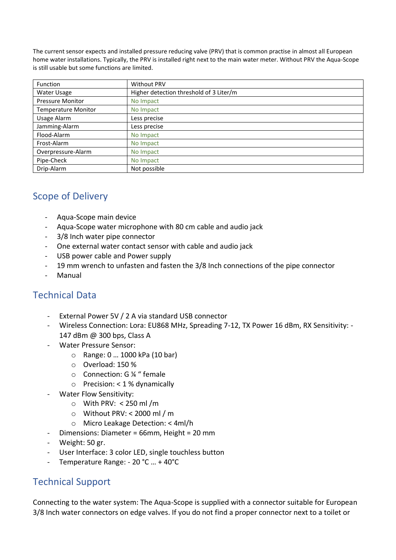The current sensor expects and installed pressure reducing valve (PRV) that is common practise in almost all European home water installations. Typically, the PRV is installed right next to the main water meter. Without PRV the Aqua-Scope is still usable but some functions are limited.

| <b>Function</b>            | <b>Without PRV</b>                      |
|----------------------------|-----------------------------------------|
| Water Usage                | Higher detection threshold of 3 Liter/m |
| <b>Pressure Monitor</b>    | No Impact                               |
| <b>Temperature Monitor</b> | No Impact                               |
| Usage Alarm                | Less precise                            |
| Jamming-Alarm              | Less precise                            |
| Flood-Alarm                | No Impact                               |
| Frost-Alarm                | No Impact                               |
| Overpressure-Alarm         | No Impact                               |
| Pipe-Check                 | No Impact                               |
| Drip-Alarm                 | Not possible                            |

# Scope of Delivery

- Aqua-Scope main device
- Aqua-Scope water microphone with 80 cm cable and audio jack
- 3/8 Inch water pipe connector
- One external water contact sensor with cable and audio jack
- USB power cable and Power supply
- 19 mm wrench to unfasten and fasten the 3/8 Inch connections of the pipe connector
- **Manual**

## Technical Data

- External Power 5V / 2 A via standard USB connector
- Wireless Connection: Lora: EU868 MHz, Spreading 7-12, TX Power 16 dBm, RX Sensitivity: 147 dBm @ 300 bps, Class A
- Water Pressure Sensor:
	- o Range: 0 … 1000 kPa (10 bar)
	- o Overload: 150 %
	- o Connection: G ¼ " female
	- o Precision: < 1 % dynamically
- Water Flow Sensitivity:
	- o With PRV: < 250 ml /m
	- o Without PRV: < 2000 ml / m
	- o Micro Leakage Detection: < 4ml/h
- Dimensions: Diameter = 66mm, Height = 20 mm
- Weight: 50 gr.
- User Interface: 3 color LED, single touchless button
- Temperature Range: 20 °C ... + 40°C

## Technical Support

Connecting to the water system: The Aqua-Scope is supplied with a connector suitable for European 3/8 Inch water connectors on edge valves. If you do not find a proper connector next to a toilet or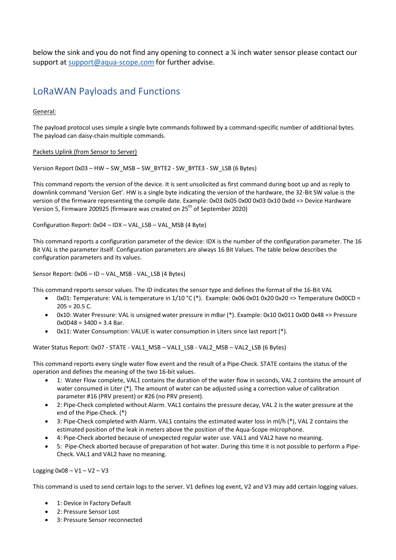below the sink and you do not find any opening to connect a ¼ inch water sensor please contact our support at [support@aqua-scope.com](mailto:support@aqua-scope.com) for further advise.

## LoRaWAN Payloads and Functions

#### General:

The payload protocol uses simple a single byte commands followed by a command-specific number of additional bytes. The payload can daisy-chain multiple commands.

#### Packets Uplink (from Sensor to Server)

Version Report 0x03 – HW – SW\_MSB – SW\_BYTE2 - SW\_BYTE3 - SW\_LSB (6 Bytes)

This command reports the version of the device. It is sent unsolicited as first command during boot up and as reply to downlink command 'Version Get'. HW is a single byte indicating the version of the hardware, the 32-Bit SW value is the version of the firmware representing the compile date. Example: 0x03 0x05 0x00 0x03 0x10 0xdd => Device Hardware Version 5, Firmware 200925 (firmware was created on 25<sup>th</sup> of September 2020)

Configuration Report: 0x04 – IDX – VAL\_LSB – VAL\_MSB (4 Byte)

This command reports a configuration parameter of the device: IDX is the number of the configuration parameter. The 16 Bit VAL is the parameter itself. Configuration parameters are always 16 Bit Values. The table below describes the configuration parameters and its values.

Sensor Report: 0x06 – ID – VAL\_MSB - VAL\_LSB (4 Bytes)

This command reports sensor values. The ID indicates the sensor type and defines the format of the 16-Bit VAL

- 0x01: Temperature: VAL is temperature in 1/10 °C (\*). Example: 0x06 0x01 0x20 0x20 => Temperature 0x00CD =  $205 = 20.5$  C.
- 0x10: Water Pressure: VAL is unsigned water pressure in mBar (\*). Example: 0x10 0x011 0x0D 0x48 => Pressure  $0x0D48 = 3400 = 3.4$  Bar.
- 0x11: Water Consumption: VALUE is water consumption in Liters since last report (\*).

Water Status Report: 0x07 - STATE - VAL1\_MSB – VAL1\_LSB - VAL2\_MSB – VAL2\_LSB (6 Bytes)

This command reports every single water flow event and the result of a Pipe-Check. STATE contains the status of the operation and defines the meaning of the two 16-bit values.

- 1: Water Flow complete, VAL1 contains the duration of the water flow in seconds, VAL 2 contains the amount of water consumed in Liter (\*). The amount of water can be adjusted using a correction value of calibration parameter #16 (PRV present) or #26 (no PRV present).
- 2: Pipe-Check completed without Alarm. VAL1 contains the pressure decay, VAL 2 is the water pressure at the end of the Pipe-Check. (\*)
- 3: Pipe-Check completed with Alarm. VAL1 contains the estimated water loss in ml/h (\*), VAL 2 contains the estimated position of the leak in meters above the position of the Aqua-Scope microphone.
- 4: Pipe-Check aborted because of unexpected regular water use. VAL1 and VAL2 have no meaning.
- 5: Pipe-Check aborted because of preparation of hot water. During this time it is not possible to perform a Pipe-Check. VAL1 and VAL2 have no meaning.

Logging  $0x08 - V1 - V2 - V3$ 

This command is used to send certain logs to the server. V1 defines log event, V2 and V3 may add certain logging values.

- 1: Device in Factory Default
- 2: Pressure Sensor Lost
- 3: Pressure Sensor reconnected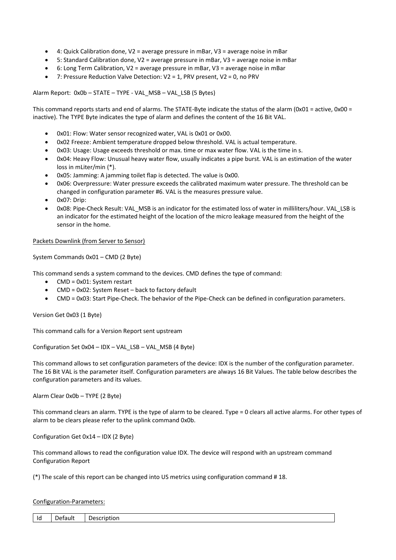- 4: Quick Calibration done, V2 = average pressure in mBar, V3 = average noise in mBar
- 5: Standard Calibration done, V2 = average pressure in mBar, V3 = average noise in mBar
- 6: Long Term Calibration, V2 = average pressure in mBar, V3 = average noise in mBar
- 7: Pressure Reduction Valve Detection: V2 = 1, PRV present, V2 = 0, no PRV

Alarm Report: 0x0b – STATE – TYPE - VAL\_MSB – VAL\_LSB (5 Bytes)

This command reports starts and end of alarms. The STATE-Byte indicate the status of the alarm (0x01 = active, 0x00 = inactive). The TYPE Byte indicates the type of alarm and defines the content of the 16 Bit VAL.

- 0x01: Flow: Water sensor recognized water, VAL is 0x01 or 0x00.
- 0x02 Freeze: Ambient temperature dropped below threshold. VAL is actual temperature.
- 0x03: Usage: Usage exceeds threshold or max. time or max water flow. VAL is the time in s.
- 0x04: Heavy Flow: Unusual heavy water flow, usually indicates a pipe burst. VAL is an estimation of the water loss in mLiter/min (\*).
- 0x05: Jamming: A jamming toilet flap is detected. The value is 0x00.
- 0x06: Overpressure: Water pressure exceeds the calibrated maximum water pressure. The threshold can be changed in configuration parameter #6. VAL is the measures pressure value.
- 0x07: Drip:
- 0x08: Pipe-Check Result: VAL\_MSB is an indicator for the estimated loss of water in milliliters/hour. VAL\_LSB is an indicator for the estimated height of the location of the micro leakage measured from the height of the sensor in the home.

#### Packets Downlink (from Server to Sensor)

System Commands 0x01 – CMD (2 Byte)

This command sends a system command to the devices. CMD defines the type of command:

- CMD = 0x01: System restart
- CMD = 0x02: System Reset back to factory default
- CMD = 0x03: Start Pipe-Check. The behavior of the Pipe-Check can be defined in configuration parameters.

Version Get 0x03 (1 Byte)

This command calls for a Version Report sent upstream

Configuration Set 0x04 – IDX – VAL\_LSB – VAL\_MSB (4 Byte)

This command allows to set configuration parameters of the device: IDX is the number of the configuration parameter. The 16 Bit VAL is the parameter itself. Configuration parameters are always 16 Bit Values. The table below describes the configuration parameters and its values.

Alarm Clear 0x0b – TYPE (2 Byte)

This command clears an alarm. TYPE is the type of alarm to be cleared. Type = 0 clears all active alarms. For other types of alarm to be clears please refer to the uplink command 0x0b.

Configuration Get 0x14 – IDX (2 Byte)

This command allows to read the configuration value IDX. The device will respond with an upstream command Configuration Report

(\*) The scale of this report can be changed into US metrics using configuration command # 18.

#### Configuration-Parameters:

| Id<br>ault<br>11 ו<br>JP<br>ושו י |
|-----------------------------------|
|-----------------------------------|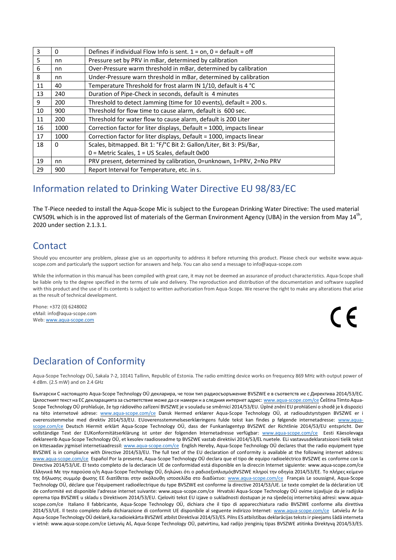| 3  | 0        | Defines if individual Flow Info is sent. $1 = on$ , $0 =$ default = off |
|----|----------|-------------------------------------------------------------------------|
| 5  | nn       | Pressure set by PRV in mBar, determined by calibration                  |
| 6  | nn       | Over-Pressure warm threshold in mBar, determined by calibration         |
| 8  | nn       | Under-Pressure warn threshold in mBar, determined by calibration        |
| 11 | 40       | Temperature Threshold for frost alarm IN 1/10, default is 4 °C          |
| 13 | 240      | Duration of Pipe-Check in seconds, default is 4 minutes                 |
| 9  | 200      | Threshold to detect Jamming (time for 10 events), default = 200 s.      |
| 10 | 900      | Threshold for flow time to cause alarm, default is 600 sec.             |
| 11 | 200      | Threshold for water flow to cause alarm, default is 200 Liter           |
| 16 | 1000     | Correction factor for liter displays, Default = 1000, impacts linear    |
| 17 | 1000     | Correction factor for liter displays, Default = 1000, impacts linear    |
| 18 | $\Omega$ | Scales, bitmapped. Bit 1: °F/°C Bit 2: Gallon/Liter, Bit 3: PSi/Bar,    |
|    |          | $0$ = Metric Scales, $1$ = US Scales, default 0x00                      |
| 19 | nn       | PRV present, determined by calibration, 0=unknown, 1=PRV, 2=No PRV      |
| 29 | 900      | Report Interval for Temperature, etc. in s.                             |

## Information related to Drinking Water Directive EU 98/83/EC

The T-Piece needed to install the Aqua-Scope Mic is subject to the European Drinking Water Directive: The used material CW509L which is in the approved list of materials of the German Environment Agency (UBA) in the version from May 14<sup>th</sup>, 2020 under section 2.1.3.1.

## **Contact**

Should you encounter any problem, please give us an opportunity to address it before returning this product. Please check our website www.aquascope.com and particularly the support section for answers and help. You can also send a message to info@aqua-scope.com

While the information in this manual has been compiled with great care, it may not be deemed an assurance of product characteristics. Aqua-Scope shall be liable only to the degree specified in the terms of sale and delivery. The reproduction and distribution of the documentation and software supplied with this product and the use of its contents is subject to written authorization from Aqua-Scope. We reserve the right to make any alterations that arise as the result of technical development.

Phone: +372 (0) 6248002 eMail: info@aqua-scope.com Web[: www.aqua-scope.com](http://www.aqua-scope.com/)

 $\epsilon$ 

# Declaration of Conformity

Aqua-Scope Technology OÜ, Sakala 7-2, 10141 Tallinn, Republic of Estonia. The radio emitting device works on frequency 869 MHz with output power of 4 dBm. (2.5 mW) and on 2.4 GHz

Български С настоящото Aqua-Scope Technology OÜ декларира, че този тип радиосъоръжение BVSZWE е в съответств ие с Директива 2014/53/ЕС. Цялостният текст на ЕС декларацията за съответствие може да се намери н а следния интернет адрес: <u>[www.aqua-scope.com/ce](http://www.te.com/hirschmann-mobility/red)</u> Čeština Tímto Aqua-Scope Technology OÜ prohlašuje, že typ rádiového zařízení BVSZWE je v souladu se směrnicí 2014/53/EU. Úplné znění EU prohlášení o shodě je k dispozici na této internetové adrese: [www.aqua-scope.com/ce](http://www.te.com/hirschmann-mobility/red) Dansk Hermed erklærer Aqua-Scope Technology OÜ, at radioudstyrstypen BVSZWE er i overensstemmelse med direktiv 2014/53/EU. EUoverensstemmelseserklæringens fulde tekst kan findes p følgende internetadresse: [www.aqua](http://www.te.com/hirschmann-mobility/red)[scope.com/ce](http://www.te.com/hirschmann-mobility/red) Deutsch Hiermit erklärt Aqua-Scope Technology OÜ, dass der Funkanlagentyp BVSZWE der Richtlinie 2014/53/EU entspricht. Der vollständige Text der EUKonformitätserklärung ist unter der folgenden Internetadresse verfügbar: [www.aqua-scope.com/ce](http://www.te.com/hirschmann-mobility/red) Eesti Käesolevaga deklareerib Aqua-Scope Technology OÜ, et kesolev raadioseadme tp BVSZWE vastab direktiivi 2014/53/EL nuetele. ELi vastavusdeklaratsiooni tielik tekst on kttesaadav jrgmisel internetiaadressil: [www.aqua-scope.com/ce](http://www.te.com/hirschmann-mobility/red) English Hereby, Aqua-Scope Technology OÜ declares that the radio equipment type BVSZWE is in compliance with Directive 2014/53/EU. The full text of the EU declaration of conformity is available at the following internet address: [www.aqua-scope.com/ce](http://www.te.com/hirschmann-mobility/red) Español Por la presente, Aqua-Scope Technology OÜ declara que el tipo de equipo radioeléctrico BVSZWE es conforme con la Directiva 2014/53/UE. El texto completo de la declaracin UE de conformidad está disponible en la direccin Internet siguiente: www.aqua-scope.com/ce Ελληνικά Με την παρούσα ο/η Aqua-Scope Technology OÜ, δηλώνει ότι ο ραδιοεξοπλισμόςBVSZWE πληροί την οδηγία 2014/53/ΕΕ. Το πλήρες κείμενο της δήλωσης συμμόρ φωσης ΕΕ διατίθεται στην ακόλουθη ιστοσελίδα στο διαδίκτυο: [www.aqua-scope.com/ce](http://www.te.com/hirschmann-mobility/red) Français Le soussigné, Aqua-Scope Technology OÜ, déclare que l'équipement radioélectrique du type BVSZWE est conforme la directive 2014/53/UE. Le texte complet de la déclaration UE de conformité est disponible l'adresse internet suivante: www.aqua-scope.com/ce Hrvatski Aqua-Scope Technology OÜ ovime izjavljuje da je radijska oprema tipa BVSZWE u skladu s Direktivom 2014/53/EU. Cjeloviti tekst EU izjave o sukladnosti dostupan je na sljedećoj internetskoj adresi: www.aquascope.com/ce Italiano Il fabbricante, Aqua-Scope Technology OÜ, dichiara che il tipo di apparecchiatura radio BVSZWE conforme alla direttiva 2014/53/UE. Il testo completo della dichiarazione di conformit UE disponibile al seguente indirizzo Internet: [www.aqua-scope.com/ce](http://www.te.com/hirschmann-mobility/red) Latviešu Ar šo Aqua-Scope Technology OÜ deklarē, ka radioiekārta BVSZWE atbilst Direktīvai 2014/53/ES. Pilns ES atbilstības deklarācijas teksts ir pieejams šādā interneta v ietnē: www.aqua-scope.com/ce Lietuvių Aš, Aqua-Scope Technology OÜ, patvirtinu, kad radijo įrenginių tipas BVSZWE atitinka Direktyvą 2014/53/ES.